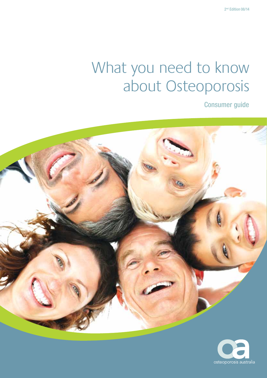# What you need to know about Osteoporosis

Consumer guide



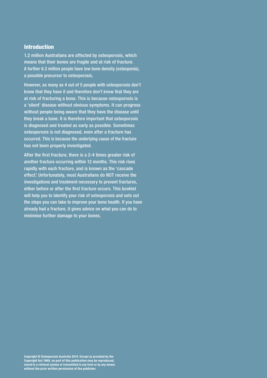# Introduction

1.2 million Australians are affected by osteoporosis, which means that their bones are fragile and at risk of fracture. A further 6.3 million people have low bone density (osteopenia), a possible precursor to osteoporosis.

However, as many as 4 out of 5 people with osteoporosis don't know that they have it and therefore don't know that they are at risk of fracturing a bone. This is because osteoporosis is a 'silent' disease without obvious symptoms. It can progress without people being aware that they have the disease until they break a bone. It is therefore important that osteoporosis is diagnosed and treated as early as possible. Sometimes osteoporosis is not diagnosed, even after a fracture has occurred. This is because the underlying cause of the fracture has not been properly investigated.

After the first fracture, there is a 2-4 times greater risk of another fracture occurring within 12 months. This risk rises rapidly with each fracture, and is known as the 'cascade effect.' Unfortunately, most Australians do NOT receive the investigations and treatment necessary to prevent fractures, either before or after the first fracture occurs. This booklet will help you to identify your risk of osteoporosis and sets out the steps you can take to improve your bone health. If you have already had a fracture, it gives advice on what you can do to minimise further damage to your bones.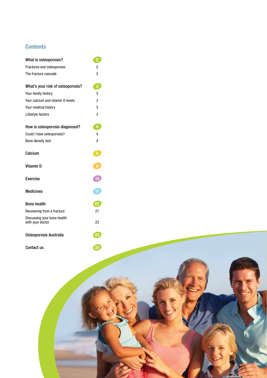# **Contents**

| What is osteoporosis?                           | $\overline{2}$ |
|-------------------------------------------------|----------------|
| Fractures and osteoporosis                      | 2              |
| The fracture cascade                            | $\overline{c}$ |
| What's your risk of osteoporosis?               | 3              |
| Your family history                             | 3              |
| Your calcium and vitamin D levels               | 3              |
| Your medical history                            | 3              |
| Lifestyle factors                               | 3              |
| How is osteoporosis diagnosed?                  | 4              |
| Could I have osteoporosis?                      | 4              |
| Bone density test                               | 4              |
| Calcium                                         | 5              |
| <b>Vitamin D</b>                                | 9              |
| Exercise                                        | 13             |
| <b>Medicines</b>                                |                |
| <b>Bone health</b>                              | 21             |
| Recovering from a fracture                      | 21             |
| Discussing your bone health<br>with your doctor | 22             |
| Osteoporosis Australia                          |                |
| <b>Contact us</b>                               |                |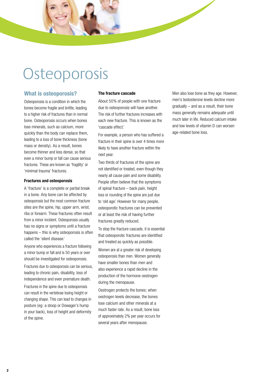# **Osteoporosis**

# **What is osteoporosis?**

Osteoporosis is a condition in which the bones become fragile and brittle, leading to a higher risk of fractures than in normal bone. Osteoporosis occurs when bones lose minerals, such as calcium, more quickly than the body can replace them, leading to a loss of bone thickness (bone mass or density). As a result, bones become thinner and less dense, so that even a minor bump or fall can cause serious fractures. These are known as 'fragility' or 'minimal trauma' fractures.

### **Fractures and osteoporosis**

A 'fracture' is a complete or partial break in a bone. Any bone can be affected by osteoporosis but the most common fracture sites are the spine, hip, upper arm, wrist, ribs or forearm. These fractures often result from a minor incident. Osteoporosis usually has no signs or symptoms until a fracture happens – this is why osteoporosis is often called the 'silent disease.'

Anyone who experiences a fracture following a minor bump or fall and is 50 years or over should be investigated for osteoporosis. Fractures due to osteoporosis can be serious, leading to chronic pain, disability, loss of independence and even premature death. Fractures in the spine due to osteoporosis can result in the vertebrae losing height or changing shape. This can lead to changes in posture (eg: a stoop or Dowager's hump in your back), loss of height and deformity of the spine.

### **The fracture cascade**

About 50% of people with one fracture due to osteoporosis will have another. The risk of further fractures increases with each new fracture. This is known as the 'cascade effect.'

For example, a person who has suffered a fracture in their spine is over 4 times more likely to have another fracture within the next year.

Two thirds of fractures of the spine are not identified or treated, even though they nearly all cause pain and some disability. People often believe that the symptoms of spinal fracture – back pain, height loss or rounding of the spine are just due to 'old age.' However for many people, osteoporotic fractures can be prevented or at least the risk of having further fractures greatly reduced.

To stop the fracture cascade, it is essential that osteoporotic fractures are identified and treated as quickly as possible.

Women are at a greater risk of developing osteoporosis than men. Women generally have smaller bones than men and also experience a rapid decline in the production of the hormone oestrogen during the menopause.

Oestrogen protects the bones; when oestrogen levels decrease, the bones lose calcium and other minerals at a much faster rate. As a result, bone loss of approximately 2% per year occurs for several years after menopause.

Men also lose bone as they age. However, men's testosterone levels decline more gradually – and as a result, their bone mass generally remains adequate until much later in life. Reduced calcium intake and low levels of vitamin D can worsen age-related bone loss.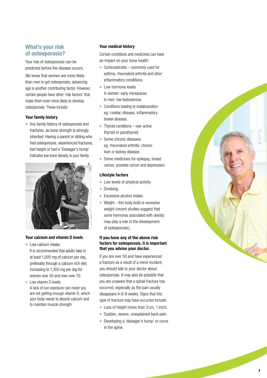# **What's your risk of osteoporosis?**

Your risk of osteoporosis can be predicted before the disease occurs.

We know that women are more likely than men to get osteoporosis; advancing age is another contributing factor. However, certain people have other 'risk factors' that make them even more likely to develop osteoporosis. These include:

### **Your family history**

● Any family history of osteoporosis and fractures, as bone strength is strongly inherited. Having a parent or sibling who had osteoporosis, experienced fractures, lost height or had a 'Dowager's hump' indicates low bone density in your family.



### **Your calcium and vitamin D levels**

- Low calcium intake. It is recommended that adults take in at least 1,000 mg of calcium per day, preferably through a calcium-rich diet, increasing to 1,300 mg per day for women over 50 and men over 70.
- Low vitamin D levels. A lack of sun exposure can mean you are not getting enough vitamin D, which your body needs to absorb calcium and to maintain muscle strength.

## **Your medical history**

Certain conditions and medicines can have an impact on your bone health:

- $\bullet$  Corticosteroids commonly used for asthma, rheumatoid arthritis and other inflammatory conditions.
- Low hormone levels In women: early menopause. In men: low testosterone.
- Conditions leading to malabsorption eg: coeliac disease, inflammatory bowel disease.
- $\bullet$  Thyroid conditions over active thyroid or parathyroid.
- Some chronic diseases eg: rheumatoid arthritis, chronic liver or kidney disease.
- Some medicines for epilepsy, breast cancer, prostate cancer and depression.

## **Lifestyle factors**

- Low levels of physical activity.
- Smoking.
- Excessive alcohol intake.
- Weight  $-$  thin body build or excessive weight (recent studies suggest that some hormones associated with obesity may play a role in the development of osteoporosis).

## **If you have any of the above risk factors for osteoporosis, it is important that you advise your doctor.**

If you are over 50 and have experienced a fracture as a result of a minor incident, you should talk to your doctor about osteoporosis. It may also be possible that you are unaware that a spinal fracture has occurred, especially as the pain usually disappears in 6-8 weeks. Signs that this type of fracture may have occurred include:

- Loss of height (more than 3 cm, 1 inch).
- Sudden, severe, unexplained back pain.
- Developing a 'dowager's hump' or curve in the spine.

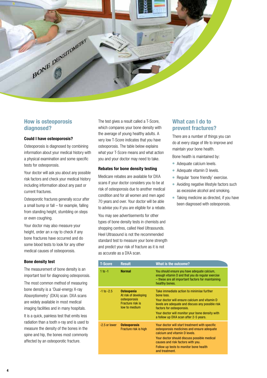

# **How is osteoporosis diagnosed?**

### **Could I have osteoporosis?**

Osteoporosis is diagnosed by combining information about your medical history with a physical examination and some specific tests for osteoporosis.

Your doctor will ask you about any possible risk factors and check your medical history including information about any past or current fractures.

Osteoporotic fractures generally occur after a small bump or fall – for example, falling from standing height, stumbling on steps or even coughing.

Your doctor may also measure your height, order an x-ray to check if any bone fractures have occurred and do some blood tests to look for any other medical causes of osteoporosis.

### **Bone density test**

The measurement of bone density is an important tool for diagnosing osteoporosis.

The most common method of measuring bone density is a 'Dual-energy X-ray Absorptiometry' (DXA) scan. DXA scans are widely available in most medical imaging facilities and in many hospitals.

It is a quick, painless test that emits less radiation than a tooth x-ray and is used to measure the density of the bones in the spine and hip, the bones most commonly affected by an osteoporotic fracture.

The test gives a result called a T-Score, which compares your bone density with the average of young healthy adults. A very low T-Score indicates that you have osteoporosis. The table below explains what your T-Score means and what action you and your doctor may need to take.

### **Rebates for bone density testing**

Medicare rebates are available for DXA scans if your doctor considers you to be at risk of osteoporosis due to another medical condition and for all women and men aged 70 years and over. Your doctor will be able to advise you if you are eligible for a rebate.

You may see advertisements for other types of bone density tests in chemists and shopping centres, called Heel Ultrasounds. Heel Ultrasound is not the recommended standard test to measure your bone strength and predict your risk of fracture as it is not as accurate as a DXA scan.

# **What can I do to prevent fractures?**

There are a number of things you can do at every stage of life to improve and maintain your bone health.

- Bone health is maintained by:
- Adequate calcium levels.
- Adequate vitamin D levels.
- Regular 'bone friendly' exercise.
- Avoiding negative lifestyle factors such as excessive alcohol and smoking.
- Taking medicine as directed, if you have been diagnosed with osteoporosis.

| <b>T-Score</b> | <b>Result</b>                                                                                   | <b>What is the outcome?</b>                                                                                                                                                                                                                                                            |
|----------------|-------------------------------------------------------------------------------------------------|----------------------------------------------------------------------------------------------------------------------------------------------------------------------------------------------------------------------------------------------------------------------------------------|
| $1$ to $-1$    | <b>Normal</b>                                                                                   | You should ensure you have adequate calcium,<br>enough vitamin D and that you do regular exercise<br>- these are all important factors for maintaining<br>healthy bones.                                                                                                               |
| $-1$ to $-2.5$ | <b>Osteopenia</b><br>At risk of developing<br>osteoporosis<br>Fracture risk is<br>low to medium | Take immediate action to minimise further<br>bone loss.<br>Your doctor will ensure calcium and vitamin D<br>levels are adequate and discuss any possible risk<br>factors for osteoporosis.<br>Your doctor will monitor your bone density with<br>a follow up DXA scan after 2-5 years. |
| -2.5 or lower  | <b>Osteoporosis</b><br>Fracture risk is high                                                    | Your doctor will start treatment with specific<br>osteoporosis medicines and ensure adequate<br>calcium and vitamin D levels.<br>Your doctor should discuss possible medical<br>causes and risk factors with you.<br>Follow up tests to monitor bone health<br>and treatment.          |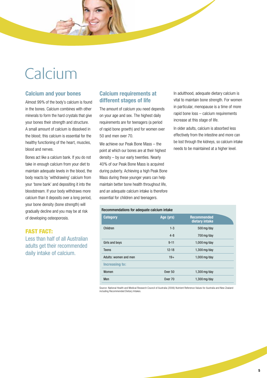# Calcium

# **Calcium and your bones**

Almost 99% of the body's calcium is found in the bones. Calcium combines with other minerals to form the hard crystals that give your bones their strength and structure. A small amount of calcium is dissolved in the blood; this calcium is essential for the healthy functioning of the heart, muscles, blood and nerves.

Bones act like a calcium bank. If you do not take in enough calcium from your diet to maintain adequate levels in the blood, the body reacts by 'withdrawing' calcium from your 'bone bank' and depositing it into the bloodstream. If your body withdraws more calcium than it deposits over a long period, your bone density (bone strength) will gradually decline and you may be at risk of developing osteoporosis.

# FAST FACT:

Less than half of all Australian adults get their recommended daily intake of calcium.

# **Calcium requirements at different stages of life**

The amount of calcium you need depends on your age and sex. The highest daily requirements are for teenagers (a period of rapid bone growth) and for women over 50 and men over 70.

We achieve our Peak Bone Mass – the point at which our bones are at their highest density – by our early twenties. Nearly 40% of our Peak Bone Mass is acquired during puberty. Achieving a high Peak Bone Mass during these younger years can help maintain better bone health throughout life, and an adequate calcium intake is therefore essential for children and teenagers.

# Recommendations for adequate calcium intake

In adulthood, adequate dietary calcium is vital to maintain bone strength. For women in particular, menopause is a time of more rapid bone loss – calcium requirements increase at this stage of life.

In older adults, calcium is absorbed less effectively from the intestine and more can be lost through the kidneys, so calcium intake needs to be maintained at a higher level.

| <b>INCOMMUNICIPATION</b> TOT aucquate Calcium Intake |           |                                      |  |  |
|------------------------------------------------------|-----------|--------------------------------------|--|--|
| <b>Category</b>                                      | Age (yrs) | <b>Recommended</b><br>dietary intake |  |  |
| Children                                             | $1 - 3$   | 500 mg/day                           |  |  |
|                                                      | $4 - 8$   | 700 mg/day                           |  |  |
| Girls and boys                                       | $9 - 11$  | $1,000$ mg/day                       |  |  |
| <b>Teens</b>                                         | $12 - 18$ | $1,300$ mg/day                       |  |  |
| Adults: women and men                                | $19+$     | $1,000$ mg/day                       |  |  |
| <b>Increasing to:</b>                                |           |                                      |  |  |
| Women                                                | Over $50$ | $1,300$ mg/day                       |  |  |
| Men                                                  | Over 70   | $1,300$ mg/day                       |  |  |
|                                                      |           |                                      |  |  |

Source: National Health and Medical Research Council of Australia (2006) Nutrient Reference Values for Australia and New Zealand including Recommended Dietary Intakes.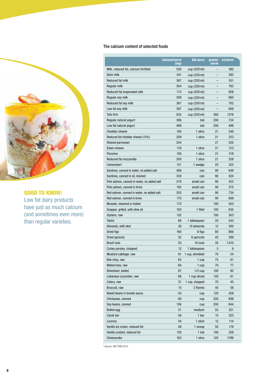

# GOOD TO KNOW:

Low fat dairy products have just as much calcium (and sometimes even more) than regular varieties.

# The calcium content of selected foods

|                                             | <b>Calcium/serve</b><br>(mg) | <b>Std serve</b> | grams/<br>serve | kJ/serve |
|---------------------------------------------|------------------------------|------------------|-----------------|----------|
| Milk, reduced fat, calcium fortified        | 520                          | cup (250 ml)     |                 | 382      |
| Skim milk                                   | 341                          | cup (250 ml)     |                 | 382      |
| Reduced fat milk                            | 367                          | cup (250 ml)     |                 | 551      |
| Regular milk                                | 304                          | cup (250 ml)     |                 | 762      |
| Reduced fat evaporated milk                 | 713                          | cup (250 ml)     |                 | 908      |
| Regular soy milk                            | 309                          | cup (250 ml)     |                 | 660      |
| Reduced fat soy milk                        | 367                          | cup (250 ml)     |                 | 702      |
| Low fat soy milk                            | 367                          | cup (250 ml)     |                 | 606      |
| Tofu firm                                   | 832                          | cup (250 ml)     | 260             | 1378     |
| Regular natural yogurt                      | 386                          | tub              | 200             | 734      |
| Low fat natural yogurt                      | 488                          | tub              | 200             | 498      |
| <b>Cheddar cheese</b>                       | 160                          | 1 slice          | 21              | 349      |
| Reduced fat cheddar cheese (15%)            | 209                          | 1 slice          | 21              | 233      |
| Shaved parmesan                             | 204                          |                  | 21              | 355      |
| Edam cheese                                 | 176                          | 1 slice          | 21              | 312      |
| Pecorino                                    | 156                          | 1 slice          | 21              | 318      |
| Reduced fat mozzarella                      | 200                          | 1 slice          | 21              | 258      |
| Camembert                                   | 121                          | 1 wedge          | 25              | 322      |
| Sardines, canned in water, no added salt    | 486                          | can              | 90              | 649      |
| Sardines, canned in oil, drained            | 330                          | can              | 90              | 824      |
| Pink salmon, canned in water, no added salt | 279                          | small can        | 90              | 552      |
| Pink salmon, canned in brine                | 183                          | small can        | 90              | 575      |
| Red salmon, canned in water, no added salt  | 203                          | small can        | 90              | 734      |
| Red salmon, canned in brine                 | 175                          | small can        | 90              | 688      |
| Mussels, steamed or boiled                  | 173                          |                  | 100             | 503      |
| Snapper, grilled, with olive oil            | 163                          | 1 fillet         | 100             | 635      |
| Oysters, raw                                | 132                          |                  | 100             | 303      |
| Tahini                                      | 66                           | 1 tablespoon     | 20              | 543      |
| Almonds, with skin                          | 30                           | 10 almonds       | 12              | 300      |
| Dried figs                                  | 160                          | 6 figs           | 80              | 866      |
| Dried apricots                              | 32                           | 6 apricots       | 45              | 399      |
| <b>Brazil nuts</b>                          | 53                           | 10 nuts          | 35              | 1,010    |
| Curley parsley, chopped                     | 12                           | 1 tablespoon     | 5               | 6        |
| Mustard cabbage, raw                        | 91                           | 1 cup, shredded  | 70              | 54       |
| Bok choy, raw                               | 65                           | 1 cup            | 75              | 61       |
| Watercress, raw                             | 60                           | 1 cup            | 70              | 77       |
| Silverbeet, boiled                          | 87                           | $1/2$ cup        | 100             | 82       |
| Lebanese cucumber, raw                      | 68                           | 1 cup sliced     | 120             | 61       |
| Celery, raw                                 | 31                           | 1 cup, chopped   | 70              | 45       |
| Broccoli, raw                               | 15                           | 2 florets        | 45              | 56       |
| Baked beans in tomato sauce                 | 43                           | cup              | 120             | 426      |
| Chickpeas, canned                           | 90                           | cup              | 200             | 898      |
| Soy beans, canned                           | 106                          | cup              | 200             | 844      |
| Boiled egg                                  | 21                           | medium           | 55              | 321      |
| Carob bar                                   | 56                           | 1 bar            |                 | 323      |
|                                             |                              |                  | 15              |          |
| Licorice                                    | 34                           | 1 stick          | 12              | 114      |
| Vanilla ice cream, reduced fat              | 48                           | 1 scoop          | 50              | 176      |
| Vanilla custard, reduced fat                | 130                          | 1 tub            | 100             | 359      |
| Cheesecake                                  | 163                          | 1 slice          | 125             | 1786     |

\* Source: NUTTAB 2010.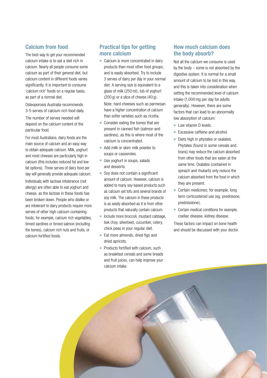# **Calcium from food**

The best way to get your recommended calcium intake is to eat a diet rich in calcium. Nearly all people consume some calcium as part of their general diet, but calcium content in different foods varies significantly. It is important to consume 'calcium rich' foods on a regular basis, as part of a normal diet.

Osteoporosis Australia recommends 3-5 serves of calcium rich food daily.

The number of serves needed will depend on the calcium content of the particular food.

For most Australians, dairy foods are the main source of calcium and an easy way to obtain adequate calcium. Milk, yoghurt and most cheeses are particularly high in calcium (this includes reduced fat and low fat options). Three serves of dairy food per day will generally provide adequate calcium.

Individuals with lactose intolerance (not allergy) are often able to eat yoghurt and cheese, as the lactose in these foods has been broken down. People who dislike or are intolerant to dairy products require more serves of other high calcium-containing foods; for example, calcium rich vegetables, tinned sardines or tinned salmon (including the bones), calcium rich nuts and fruits, or calcium fortified foods.

# **Practical tips for getting more calcium**

- Calcium is more concentrated in dairy products than most other food groups, and is easily absorbed. Try to include 3 serves of dairy per day in your normal diet. A serving size is equivalent to a glass of milk (250 ml), tub of yoghurt (200 g) or a slice of cheese (40 g). Note: hard cheeses such as parmesan have a higher concentration of calcium than softer varieties such as ricotta.
- Consider eating the bones that are present in canned fish (salmon and sardines), as this is where most of the calcium is concentrated.
- Add milk or skim milk powder to soups or casseroles.
- Use yoghurt in soups, salads and desserts.
- Soy does not contain a significant amount of calcium. However, calcium is added to many soy-based products such as calcium set tofu and several brands of soy milk. The calcium in these products is as easily absorbed as it is from other products that naturally contain calcium.
- Include more broccoli, mustard cabbage, bok choy, silverbeet, cucumber, celery, chick peas in your regular diet.
- $\bullet$  Eat more almonds, dried figs and dried apricots.
- $\bullet$  Products fortified with calcium, such as breakfast cereals and some breads and fruit juices, can help improve your calcium intake.

# **How much calcium does the body absorb?**

Not all the calcium we consume is used by the body – some is not absorbed by the digestive system. It is normal for a small amount of calcium to be lost in this way, and this is taken into consideration when setting the recommended level of calcium intake (1,000 mg per day for adults generally). However, there are some factors that can lead to an abnormally low absorption of calcium:

- Low vitamin D levels.
- Excessive caffeine and alcohol.
- Diets high in phytates or oxalates. Phytates (found in some cereals and brans) may reduce the calcium absorbed from other foods that are eaten at the same time. Oxalates (contained in spinach and rhubarb) only reduce the calcium absorbed from the food in which they are present.
- Certain medicines; for example, long term corticosteroid use (eg: prednisone, prednisolone).
- Certain medical conditions for example. coeliac disease, kidney disease.

These factors can impact on bone health and should be discussed with your doctor.

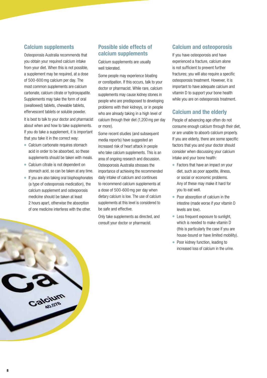# **Calcium supplements**

Osteoporosis Australia recommends that you obtain your required calcium intake from your diet. When this is not possible, a supplement may be required, at a dose of 500-600 mg calcium per day. The most common supplements are calcium carbonate, calcium citrate or hydroxyapatite. Supplements may take the form of oral (swallowed) tablets, chewable tablets, effervescent tablets or soluble powder.

It is best to talk to your doctor and pharmacist about when and how to take supplements. If you do take a supplement, it is important that you take it in the correct way:

- Calcium carbonate requires stomach acid in order to be absorbed, so these supplements should be taken with meals.
- Calcium citrate is not dependent on stomach acid, so can be taken at any time.
- If you are also taking oral bisphosphonates (a type of osteoporosis medication), the calcium supplement and osteoporosis medicine should be taken at least 2 hours apart, otherwise the absorption of one medicine interferes with the other.

# **Possible side effects of calcium supplements**

Calcium supplements are usually well tolerated.

Some people may experience bloating or constipation. If this occurs, talk to your doctor or pharmacist. While rare, calcium supplements may cause kidney stones in people who are predisposed to developing problems with their kidneys, or in people who are already taking in a high level of calcium through their diet (1,200 mg per day or more).

Some recent studies (and subsequent media reports) have suggested an increased risk of heart attack in people who take calcium supplements. This is an area of ongoing research and discussion. Osteoporosis Australia stresses the importance of achieving the recommended daily intake of calcium and continues to recommend calcium supplements at a dose of 500-600 mg per day when dietary calcium is low. The use of calcium supplements at this level is considered to be safe and effective.

Only take supplements as directed, and consult your doctor or pharmacist.

# **Calcium and osteoporosis**

If you have osteoporosis and have experienced a fracture, calcium alone is not sufficient to prevent further fractures; you will also require a specific osteoporosis treatment. However, it is important to have adequate calcium and vitamin D to support your bone health while you are on osteoporosis treatment.

# **Calcium and the elderly**

People of advancing age often do not consume enough calcium through their diet, or are unable to absorb calcium properly. If you are elderly, there are some specific factors that you and your doctor should consider when discussing your calcium intake and your bone health:

- Factors that have an impact on your diet, such as poor appetite, illness, or social or economic problems. Any of these may make it hard for you to eat well.
- Poor absorption of calcium in the intestine (made worse if your vitamin D levels are low).
- Less frequent exposure to sunlight, which is needed to make vitamin D (this is particularly the case if you are house-bound or have limited mobility).
- Poor kidney function, leading to increased loss of calcium in the urine.

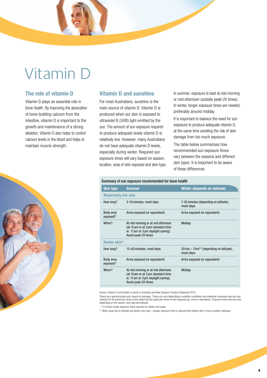# Vitamin D

# **The role of vitamin D**

Vitamin D plays an essential role in bone health. By improving the absorption of bone-building calcium from the intestine, vitamin D is important to the growth and maintenance of a strong skeleton. Vitamin D also helps to control calcium levels in the blood and helps to maintain muscle strength.



# **Vitamin D and sunshine**

For most Australians, sunshine is the main source of vitamin D. Vitamin D is produced when our skin is exposed to ultraviolet B (UVB) light emitted by the sun. The amount of sun exposure required to produce adequate levels vitamin D is relatively low. However, many Australians do not have adequate vitamin D levels, especially during winter. Required sun exposure times will vary based on season, location, area of skin exposed and skin type.

Summary of sun exposure recommended for bone health

In summer, exposure is best at mid morning or mid afternoon (outside peak UV times). In winter, longer exposure times are needed, preferably around midday.

It is important to balance the need for sun exposure to produce adequate vitamin D, at the same time avoiding the risk of skin damage from too much exposure.

The table below summarises how recommended sun exposure times vary between the seasons and different skin types. It is important to be aware of these differences.

| <b>Skin type</b>            | <b>Summer</b>                                                                                                                          | Winter (depends on latitude)                           |
|-----------------------------|----------------------------------------------------------------------------------------------------------------------------------------|--------------------------------------------------------|
| <b>Moderately fair skin</b> |                                                                                                                                        |                                                        |
| How long?                   | 5-10 minutes, most days                                                                                                                | 7-30 minutes (depending on latitude),<br>most days     |
| Body area<br>exposed?       | Arms exposed (or equivalent)                                                                                                           | Arms exposed (or equivalent)                           |
| When?                       | At mid morning or at mid afternoon<br>(at 10 am or at 2 pm standard time)<br>ie: 11am or 3 pm daylight saving).<br>Avoid peak UV times | Midday                                                 |
| Darker skin*                |                                                                                                                                        |                                                        |
| How long?                   | 15-60 minutes, most days                                                                                                               | 20 min – 3 hrs** (depending on latitude),<br>most days |
| Body area<br>exposed?       | Arms exposed (or equivalent)                                                                                                           | Arms exposed (or equivalent)                           |
| When?                       | At mid morning or at mid afternoon<br>(at 10 am or at 2 pm standard time<br>ie: 11 am or 3 pm daylight saving).<br>Avoid peak UV times | Midday                                                 |

Source: Vitamin D and Health in adults in Australia and New Zealand: Position Statement 2012.

Times are a general guide only, based on averages. Times can vary depending on weather conditions and individual responses and are only<br>relevant for the particular times of day stated and for particular areas of skin expos

\* 3-6 times longer exposure times required for darker skin types.

\*\* Wide range due to latitude and darker skin type – greater exposure time is required with darker skin in more southern latitudes.

### **9**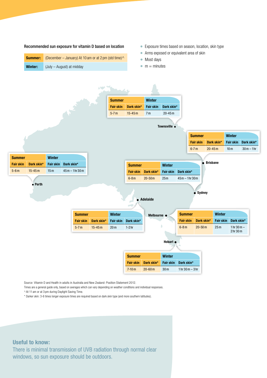### Recommended sun exposure for vitamin D based on location

|         | <b>Summer:</b> (December – January) At 10 am or at 2 pm (std time) $\wedge$ |
|---------|-----------------------------------------------------------------------------|
| Winter: | (July – August) at midday                                                   |

- Exposure times based on season, location, skin type
- Arms exposed or equivalent area of skin
- Most days
- $\bullet$  m = minutes



Source: Vitamin D and Health in adults in Australia and New Zealand: Position Statement 2012.

Times are a general guide only, based on averages which can vary depending on weather conditions and individual responses.

^ At 11 am or at 3 pm during Daylight Saving Time.

\* Darker skin: 3-6 times longer exposure times are required based on dark skin type (and more southern latitudes).

# **Useful to know:**

There is minimal transmission of UVB radiation through normal clear windows, so sun exposure should be outdoors.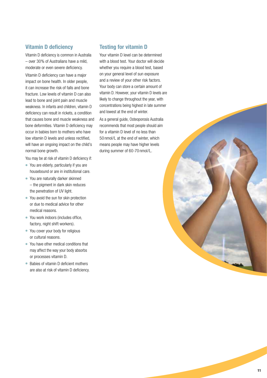# **Vitamin D deficiency**

Vitamin D deficiency is common in Australia – over 30% of Australians have a mild, moderate or even severe deficiency.

Vitamin D deficiency can have a major impact on bone health. In older people, it can increase the risk of falls and bone fracture. Low levels of vitamin D can also lead to bone and joint pain and muscle weakness. In infants and children, vitamin D deficiency can result in rickets, a condition that causes bone and muscle weakness and bone deformities. Vitamin D deficiency may occur in babies born to mothers who have low vitamin D levels and unless rectified, will have an ongoing impact on the child's normal bone growth.

You may be at risk of vitamin D deficiency if:

● You are elderly, particularly if you are

- housebound or are in institutional care. ● You are naturally darker skinned
- the pigment in dark skin reduces the penetration of UV light.
- You avoid the sun for skin protection or due to medical advice for other medical reasons.
- You work indoors (includes office, factory, night shift workers).
- You cover your body for religious or cultural reasons.
- You have other medical conditions that may affect the way your body absorbs or processes vitamin D.
- $\bullet$  Babies of vitamin D deficient mothers are also at risk of vitamin D deficiency.

# **Testing for vitamin D**

Your vitamin D level can be determined with a blood test. Your doctor will decide whether you require a blood test, based on your general level of sun exposure and a review of your other risk factors. Your body can store a certain amount of vitamin D. However, your vitamin D levels are likely to change throughout the year, with concentrations being highest in late summer and lowest at the end of winter.

As a general guide, Osteoporosis Australia recommends that most people should aim for a vitamin D level of no less than 50 nmol/L at the end of winter, which means people may have higher levels during summer of 60-70 nmol/L.

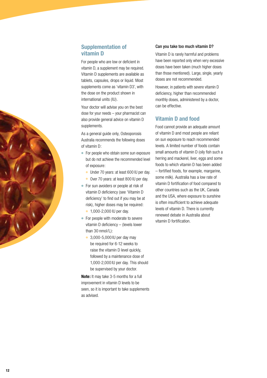# **Supplementation of vitamin D**

For people who are low or deficient in vitamin D, a supplement may be required. Vitamin D supplements are available as tablets, capsules, drops or liquid. Most supplements come as 'vitamin D3', with the dose on the product shown in international units (IU).

Your doctor will advise you on the best dose for your needs – your pharmacist can also provide general advice on vitamin D supplements.

As a general quide only, Osteoporosis Australia recommends the following doses of vitamin D:

- For people who obtain some sun exposure but do not achieve the recommended level of exposure:
	- Under 70 years: at least 600 IU per day.
	- Over 70 years: at least 800 IU per day.
- For sun avoiders or people at risk of vitamin D deficiency (see 'Vitamin D deficiency' to find out if you may be at risk), higher doses may be required:
	- 1,000-2,000 IU per day.
- For people with moderate to severe vitamin D deficiency  $-$  (levels lower than 30 nmol/L):
	- 3,000-5,000 IU per day may be required for 6-12 weeks to raise the vitamin D level quickly, followed by a maintenance dose of 1,000-2,000 IU per day. This should be supervised by your doctor.

**Note:** It may take 3-5 months for a full improvement in vitamin D levels to be seen, so it is important to take supplements as advised.

## Can you take too much vitamin D?

Vitamin D is rarely harmful and problems have been reported only when very excessive doses have been taken (much higher doses than those mentioned). Large, single, yearly doses are not recommended.

However, in patients with severe vitamin D deficiency, higher than recommended monthly doses, administered by a doctor, can be effective.

# **Vitamin D and food**

Food cannot provide an adequate amount of vitamin D and most people are reliant on sun exposure to reach recommended levels. A limited number of foods contain small amounts of vitamin D (oily fish such a herring and mackerel, liver, eggs and some foods to which vitamin D has been added – fortified foods, for example, margarine, some milk). Australia has a low rate of vitamin D fortification of food compared to other countries such as the UK, Canada and the USA, where exposure to sunshine is often insufficient to achieve adequate levels of vitamin D. There is currently renewed debate in Australia about vitamin D fortification.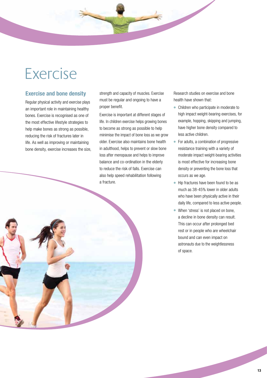# Exercise

# **Exercise and bone density**

Regular physical activity and exercise plays an important role in maintaining healthy bones. Exercise is recognised as one of the most effective lifestyle strategies to help make bones as strong as possible, reducing the risk of fractures later in life. As well as improving or maintaining bone density, exercise increases the size,

strength and capacity of muscles. Exercise must be regular and ongoing to have a proper benefit.

Exercise is important at different stages of life. In children exercise helps growing bones to become as strong as possible to help minimise the impact of bone loss as we grow older. Exercise also maintains bone health in adulthood, helps to prevent or slow bone loss after menopause and helps to improve balance and co-ordination in the elderly to reduce the risk of falls. Exercise can also help speed rehabilitation following a fracture.

Research studies on exercise and bone health have shown that:

- Children who participate in moderate to high impact weight-bearing exercises, for example, hopping, skipping and jumping, have higher bone density compared to less active children.
- For adults, a combination of progressive resistance training with a variety of moderate impact weight-bearing activities is most effective for increasing bone density or preventing the bone loss that occurs as we age.
- Hip fractures have been found to be as much as 38-45% lower in older adults who have been physically active in their daily life, compared to less active people.
- When 'stress' is not placed on bone, a decline in bone density can result. This can occur after prolonged bed rest or in people who are wheelchair bound and can even impact on astronauts due to the weightlessness of space.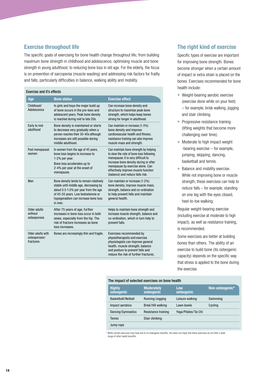# **Exercise throughout life**

The specific goals of exercising for bone health change throughout life; from building maximum bone strength in childhood and adolescence, optimising muscle and bone strength in young adulthood, to reducing bone loss in old age. For the elderly, the focus is on prevention of sarcopenia (muscle wasting) and addressing risk factors for frailty and falls, particularly difficulties in balance, walking ability and mobility.

### Exercise and it's effects **Age Bone status Exercise effect** Childhood/ Adolescence In girls and boys the major build up of bone occurs in the pre-teen and adolescent years. Peak bone density is reached during mid to late 20s. Can increase bone density and structure to maximise peak bone strength, which helps keep bones strong for longer in adulthood. Early to mid adulthood Bone density is maintained or starts to decrease very gradually when a person reaches their 30-40s although increases are still possible during middle adulthood. Can maintain or increase (1-3%) bone density and improve cardiovascular health and fitness; resistance training can also improve muscle mass and strength. Post menopausal women In women from the age of 45 years, bone loss begins to increase to 1-2% per year. Bone loss accelerates up to 2-4% per year at the onset of menopause. Can maintain bone strength by helping to slow the rate of bone loss following menopause. It is very difficult to increase bone density during or after menopause by exercise alone. Can effectively improve muscle function (balance) and reduce falls risk. Men Bone density tends to remain relatively stable until middle age, decreasing by about 0.5-1.0% per year from the age of 45-55 years. Low testosterone or hypogonadism can increase bone loss in men. Can maintain or increase (1-2%) bone density, improve muscle mass, strength, balance and co-ordination to help prevent falls and maintain general health. Older adults without osteoporosis After 75 years of age, further increases in bone loss occur in both sexes, especially from the hip. The risk of fracture increases as bone loss increases. Helps to maintain bone strength and increase muscle strength, balance and co-ordination, which in turn help to prevent falls. Older adults with osteoporosis/ fractures Bones are increasingly thin and fragile. Exercises recommended by physiotherapists and exercise physiologists can improve general health, muscle strength, balance and posture to prevent falls and reduce the risk of further fractures.

# **The right kind of exercise**

Specific types of exercise are important for improving bone strength. Bones become stronger when a certain amount of impact or extra strain is placed on the bones. Exercises recommended for bone health include:

- Weight-bearing aerobic exercise (exercise done while on your feet) – for example, brisk walking, jogging and stair climbing.
- Progressive resistance training (lifting weights that become more challenging over time).
- Moderate to high impact weight -bearing exercise – for example, jumping, skipping, dancing, basketball and tennis.
- Balance and mobility exercise. While not improving bone or muscle strength, these exercises can help to reduce falls – for example, standing on one leg with the eyes closed, heel-to-toe walking.

Regular weight-bearing exercise (including exercise at moderate to high impact), as well as resistance training, is recommended.

Some exercises are better at building bones than others. The ability of an exercise to build bone (its osteogenic capacity) depends on the specific way that stress is applied to the bone during the exercise.

### The impact of selected exercises on bone health

| <b>Highly</b><br>osteogenic | <b>Moderately</b><br>osteogenic | Low<br>osteogenic    | Non-osteogenic* |
|-----------------------------|---------------------------------|----------------------|-----------------|
| Basketball/Netball          | Running/Jogging                 | Leisure walking      | Swimming        |
| Impact aerobics             | Brisk/Hill walking              | Lawn bowls           | Cycling         |
| Dancing/Gymnastics          | Resistance training             | Yoga/Pilates/Tai Chi |                 |
| <b>Tennis</b>               | Stair climbing                  |                      |                 |
| Jump rope                   |                                 |                      |                 |

the certain exercises may have low to no osteogenic benefits, this does not imply that these exercises do not offer a wide range of other health benefits.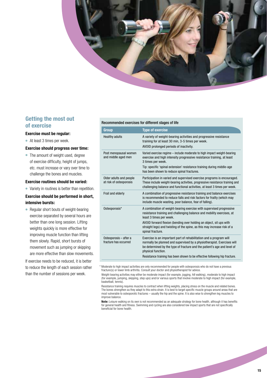

# **Getting the most out of exercise**

### **Exercise must be regular:**

● At least 3 times per week.

### **Exercise should progress over time:**

● The amount of weight used, degree of exercise difficulty, height of jumps, etc. must increase or vary over time to challenge the bones and muscles.

### **Exercise routines should be varied:**

● Variety in routines is better than repetition.

# **Exercise should be performed in short, intensive bursts:**

● Regular short bouts of weight-bearing exercise separated by several hours are better than one long session. Lifting weights quickly is more effective for improving muscle function than lifting them slowly. Rapid, short bursts of movement such as jumping or skipping are more effective than slow movements.

If exercise needs to be reduced, it is better to reduce the length of each session rather than the number of sessions per week.

### Recommended exercises for different stages of life

| Group                                              | <b>Type of exercise</b>                                                                                                                                                                                                                                                                                                                          |
|----------------------------------------------------|--------------------------------------------------------------------------------------------------------------------------------------------------------------------------------------------------------------------------------------------------------------------------------------------------------------------------------------------------|
| <b>Healthy adults</b>                              | A variety of weight-bearing activities and progressive resistance<br>training for at least 30 min, 3-5 times per week.<br>AVOID prolonged periods of inactivity.                                                                                                                                                                                 |
| Post menopausal women<br>and middle aged men       | Varied exercise regime – include moderate to high impact weight-bearing<br>exercise and high intensity progressive resistance training, at least<br>3 times per week.<br>Tip: specific 'spinal extension' resistance training during middle-age<br>has been shown to reduce spinal fractures.                                                    |
| Older adults and people<br>at risk of osteoporosis | Participation in varied and supervised exercise programs is encouraged.<br>These include weight-bearing activities, progressive resistance training and<br>challenging balance and functional activities, at least 3 times per week.                                                                                                             |
| Frail and elderly                                  | A combination of progressive resistance training and balance exercises<br>is recommended to reduce falls and risk factors for frailty (which may<br>include muscle wasting, poor balance, fear of falling).                                                                                                                                      |
| Osteoporosis*                                      | A combination of weight-bearing exercise with supervised progressive<br>resistance training and challenging balance and mobility exercises, at<br>least 3 times per week.<br>AVOID forward flexion (bending over holding an object, sit ups with<br>straight legs) and twisting of the spine, as this may increase risk of a<br>spinal fracture. |
| Osteoporosis - after a<br>fracture has occurred    | Exercise is an important part of rehabilitation and a program will<br>normally be planned and supervised by a physiotherapist. Exercises will<br>be determined by the type of fracture and the patient's age and level of<br>physical function.<br>Resistance training has been shown to be effective following hip fracture.                    |

<sup>\*</sup> Moderate to high impact activities are only recommended for people with osteoporosis who do not have a previous fracture(s) or lower limb arthritis. Consult your doctor and physiotherapist for advice.

 Weight-bearing activities may either be moderate impact (for example, jogging, hill walking), moderate to high impact (for example, jumping, skipping, step ups) and/or various sports that involve moderate to high impact (for example, basketball, tennis).

 Resistance training requires muscles to contract when lifting weights, placing stress on the muscle and related bones. The bones strengthen as they adapt to this extra strain. It is best to target specific muscle groups around areas that are most vulnerable to osteoporotic fractures – usually the hip and the spine. It is also wise to strengthen leg muscles to improve balance.

**Note:** Leisure walking on its own is not recommended as an adequate strategy for bone health, although it has benefits for general health and fitness. Swimming and cycling are also considered low impact sports that are not specifically beneficial for bone health.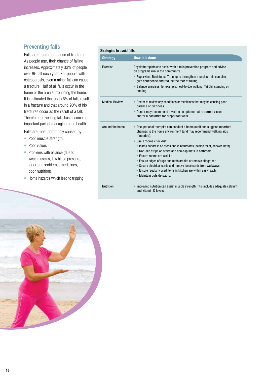# **Preventing falls**

Falls are a common cause of fracture. As people age, their chance of falling increases. Approximately 33% of people over 65 fall each year. For people with osteoporosis, even a minor fall can cause a fracture. Half of all falls occur in the home or the area surrounding the home. It is estimated that up to 6% of falls result in a fracture and that around 90% of hip fractures occur as the result of a fall. Therefore, preventing falls has become an important part of managing bone health.

Falls are most commonly caused by:

- Poor muscle strength.
- Poor vision.
- Problems with balance (due to weak muscles, low blood pressure, inner ear problems, medicines, poor nutrition).
- Home hazards which lead to tripping.

| Strategies to avoid falls |  |  |
|---------------------------|--|--|
|                           |  |  |

| <b>Strategy</b>       | How it is done                                                                                                                                          |
|-----------------------|---------------------------------------------------------------------------------------------------------------------------------------------------------|
| Exercise              | Physiotherapists can assist with a falls prevention program and advise<br>on programs run in the community.                                             |
|                       | • Supervised Resistance Training to strengthen muscles (this can also<br>give confidence and reduce the fear of falling).                               |
|                       | • Balance exercises, for example, heel-to-toe walking, Tai Chi, standing on<br>one leg.                                                                 |
| <b>Medical Review</b> | • Doctor to review any conditions or medicines that may be causing poor<br>balance or dizziness.                                                        |
|                       | • Doctor may recommend a visit to an optometrist to correct vision<br>and/or a podiatrist for proper footwear.                                          |
| Around the home       | Occupational therapist can conduct a home audit and suggest important<br>changes to the home environment (and may recommend walking aids<br>if needed). |
|                       | . Use a 'home checklist':                                                                                                                               |
|                       | • Install handrails on steps and in bathrooms (beside toilet, shower, bath).<br>• Non-slip strips on stairs and non-slip mats in bathroom.              |
|                       | • Ensure rooms are well lit.                                                                                                                            |
|                       | • Ensure edges of rugs and mats are flat or remove altogether.                                                                                          |
|                       | • Secure electrical cords and remove loose cords from walkways.                                                                                         |
|                       | . Ensure regularly used items in kitchen are within easy reach.<br>Maintain outside paths.<br>$\bullet$                                                 |
| <b>Nutrition</b>      | Improving nutrition can assist muscle strength. This includes adequate calcium<br>and vitamin D levels.                                                 |

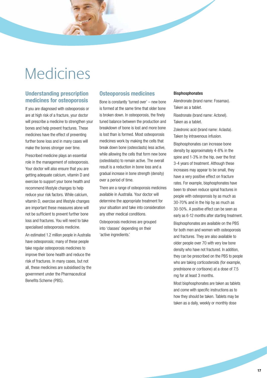# **Medicines**

# **Understanding prescription medicines for osteoporosis**

If you are diagnosed with osteoporosis or are at high risk of a fracture, your doctor will prescribe a medicine to strengthen your bones and help prevent fractures. These medicines have the effect of preventing further bone loss and in many cases will make the bones stronger over time.

Prescribed medicine plays an essential role in the management of osteoporosis. Your doctor will also ensure that you are getting adequate calcium, vitamin D and exercise to support your bone health and recommend lifestyle changes to help reduce your risk factors. While calcium, vitamin D, exercise and lifestyle changes are important these measures alone will not be sufficient to prevent further bone loss and fractures. You will need to take specialised osteoporosis medicine.

An estimated 1.2 million people in Australia have osteoporosis; many of these people take regular osteoporosis medicines to improve their bone health and reduce the risk of fractures. In many cases, but not all, these medicines are subsidised by the government under the Pharmaceutical Benefits Scheme (PBS).

# **Osteoporosis medicines**

Bone is constantly 'turned over' – new bone is formed at the same time that older bone is broken down. In osteoporosis, the finely tuned balance between the production and breakdown of bone is lost and more bone is lost than is formed. Most osteoporosis medicines work by making the cells that break down bone (osteoclasts) less active, while allowing the cells that form new bone (osteoblasts) to remain active. The overall result is a reduction in bone loss and a gradual increase in bone strength (density) over a period of time.

There are a range of osteoporosis medicines available in Australia. Your doctor will determine the appropriate treatment for your situation and take into consideration any other medical conditions.

Osteoporosis medicines are grouped into 'classes' depending on their 'active ingredients.'

### Bisphosphonates

Alendronate (brand name: Fosamax). Taken as a tablet. Risedronate (brand name: Actonel). Taken as a tablet.

Zoledronic acid (brand name: Aclasta). Taken by intravenous infusion.

Bisphosphonates can increase bone density by approximately 4-8% in the spine and 1-3% in the hip, over the first 3-4 years of treatment. Although these increases may appear to be small, they have a very positive effect on fracture rates. For example, bisphosphonates have been to shown reduce spinal fractures in people with osteoporosis by as much as 30-70% and in the hip by as much as 30-50%. A positive effect can be seen as early as 6-12 months after starting treatment.

Bisphosphonates are available on the PBS for both men and women with osteoporosis and fractures. They are also available to older people over 70 with very low bone density who have not fractured. In addition, they can be prescribed on the PBS to people who are taking corticosteroids (for example, prednisone or cortisone) at a dose of 7.5 mg for at least 3 months.

Most bisphosphonates are taken as tablets and come with specific instructions as to how they should be taken. Tablets may be taken as a daily, weekly or monthly dose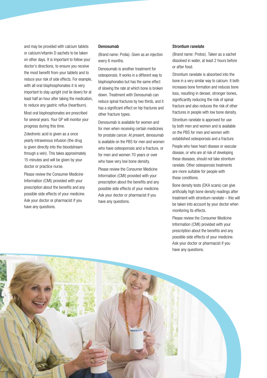and may be provided with calcium tablets or calcium/vitamin D sachets to be taken on other days. It is important to follow your doctor's directions, to ensure you receive the most benefit from your tablets and to reduce your risk of side effects. For example, with all oral bisphosphonates it is very important to stay upright (not lie down) for at least half an hour after taking the medication, to reduce any gastric reflux (heartburn).

Most oral bisphosphonates are prescribed for several years. Your GP will monitor your progress during this time.

Zoledronic acid is given as a once yearly intravenous infusion (the drug is given directly into the bloodstream through a vein). This takes approximately 15 minutes and will be given by your doctor or practice nurse.

Please review the Consumer Medicine Information (CMI) provided with your prescription about the benefits and any possible side effects of your medicine. Ask your doctor or pharmacist if you have any questions.

### Denosumab

(Brand name: Prolia). Given as an injection every 6 months.

Denosumab is another treatment for osteoporosis. It works in a different way to bisphosphonates but has the same effect of slowing the rate at which bone is broken down. Treatment with Denosumab can reduce spinal fractures by two thirds, and it has a significant effect on hip fractures and other fracture types.

Denosumab is available for women and for men when receiving certain medicines for prostate cancer. At present, denosumab is available on the PBS for men and women who have osteoporosis and a fracture, or for men and women 70 years or over who have very low bone density.

Please review the Consumer Medicine Information (CMI) provided with your prescription about the benefits and any possible side effects of your medicine. Ask your doctor or pharmacist if you have any questions.

### Strontium ranelate

(Brand name: Protos). Taken as a sachet dissolved in water, at least 2 hours before or after food.

Strontium ranelate is absorbed into the bone in a very similar way to calcium. It both increases bone formation and reduces bone loss, resulting in denser, stronger bones, significantly reducing the risk of spinal fracture and also reduces the risk of other fractures in people with low bone density. Strontium ranelate is approved for use by both men and women and is available on the PBS for men and women with established osteoporosis and a fracture.

People who have heart disease or vascular disease, or who are at risk of developing these diseases, should not take strontium ranelate. Other osteoporosis treatments are more suitable for people with these conditions.

Bone density tests (DXA scans) can give artificially high bone density readings after treatment with strontium ranelate – this will be taken into account by your doctor when monitoring its effects.

Please review the Consumer Medicine Information (CMI) provided with your prescription about the benefits and any possible side effects of your medicine. Ask your doctor or pharmacist if you have any questions.

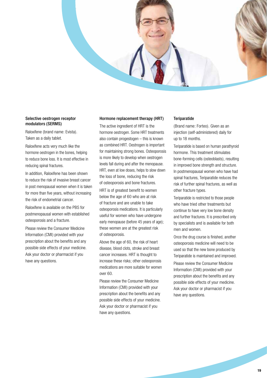

## Selective oestrogen receptor modulators (SERMS)

Raloxifene (brand name: Evista). Taken as a daily tablet.

Raloxifene acts very much like the hormone oestrogen in the bones, helping to reduce bone loss. It is most effective in reducing spinal fractures.

In addition, Raloxifene has been shown to reduce the risk of invasive breast cancer in post menopausal women when it is taken for more than five years, without increasing the risk of endometrial cancer.

Raloxifene is available on the PBS for postmenopausal women with established osteoporosis and a fracture.

Please review the Consumer Medicine Information (CMI) provided with your prescription about the benefits and any possible side effects of your medicine. Ask your doctor or pharmacist if you have any questions.

### Hormone replacement therapy (HRT)

The active ingredient of HRT is the hormone oestrogen. Some HRT treatments also contain progestogen – this is known as combined HRT. Oestrogen is important for maintaining strong bones. Osteoporosis is more likely to develop when oestrogen levels fall during and after the menopause. HRT, even at low doses, helps to slow down the loss of bone, reducing the risk of osteoporosis and bone fractures.

HRT is of greatest benefit to women below the age of 60 who are at risk of fracture and are unable to take osteoporosis medications. It is particularly useful for women who have undergone early menopause (before 45 years of age); these women are at the greatest risk of osteoporosis.

Above the age of 60, the risk of heart disease, blood clots, stroke and breast cancer increases. HRT is thought to increase these risks; other osteoporosis medications are more suitable for women over 60.

Please review the Consumer Medicine Information (CMI) provided with your prescription about the benefits and any possible side effects of your medicine. Ask your doctor or pharmacist if you have any questions.

## **Teriparatide**

(Brand name: Forteo). Given as an injection (self-administered) daily for up to 18 months.

Teriparatide is based on human parathyroid hormone. This treatment stimulates bone-forming cells (osteoblasts), resulting in improved bone strength and structure. In postmenopausal women who have had spinal fractures, Teriparatide reduces the risk of further spinal fractures, as well as other fracture types.

Teriparatide is restricted to those people who have tried other treatments but continue to have very low bone density and further fractures. It is prescribed only by specialists and is available for both men and women.

Once the drug course is finished, another osteoporosis medicine will need to be used so that the new bone produced by Teriparatide is maintained and improved.

Please review the Consumer Medicine Information (CMI) provided with your prescription about the benefits and any possible side effects of your medicine. Ask your doctor or pharmacist if you have any questions.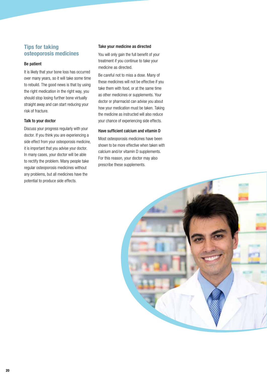# **Tips for taking osteoporosis medicines**

### Be patient

It is likely that your bone loss has occurred over many years, so it will take some time to rebuild. The good news is that by using the right medication in the right way, you should stop losing further bone virtually straight away and can start reducing your risk of fracture.

### Talk to your doctor

Discuss your progress regularly with your doctor. If you think you are experiencing a side effect from your osteoporosis medicine, it is important that you advise your doctor. In many cases, your doctor will be able to rectify the problem. Many people take regular osteoporosis medicines without any problems, but all medicines have the potential to produce side effects.

## Take your medicine as directed

You will only gain the full benefit of your treatment if you continue to take your medicine as directed.

Be careful not to miss a dose. Many of these medicines will not be effective if you take them with food, or at the same time as other medicines or supplements. Your doctor or pharmacist can advise you about how your medication must be taken. Taking the medicine as instructed will also reduce your chance of experiencing side effects.

## Have sufficient calcium and vitamin D

Most osteoporosis medicines have been shown to be more effective when taken with calcium and/or vitamin D supplements. For this reason, your doctor may also prescribe these supplements.

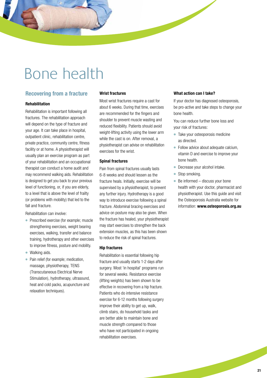# Bone health

# **Recovering from a fracture**

### **Rehabilitation**

Rehabilitation is important following all fractures. The rehabilitation approach will depend on the type of fracture and your age. It can take place in hospital, outpatient clinic, rehabilitation centre, private practice, community centre, fitness facility or at home. A physiotherapist will usually plan an exercise program as part of your rehabilitation and an occupational therapist can conduct a home audit and may recommend walking aids. Rehabilitation is designed to get you back to your previous level of functioning, or, if you are elderly, to a level that is above the level of frailty (or problems with mobility) that led to the fall and fracture.

Rehabilitation can involve:

- Prescribed exercise (for example: muscle strengthening exercises, weight bearing exercises, walking, transfer and balance training, hydrotherapy and other exercises to improve fitness, posture and mobility.
- Walking aids.
- Pain relief (for example; medication, massage, physiotherapy, TENS (Transcutaneous Electrical Nerve Stimulation), hydrotherapy, ultrasound, heat and cold packs, acupuncture and relaxation techniques).

### **Wrist fractures**

Most wrist fractures require a cast for about 6 weeks. During that time, exercises are recommended for the fingers and shoulder to prevent muscle wasting and reduced flexibility. Patients should avoid weight-lifting activity using the lower arm while the cast is on. After removal, a physiotherapist can advise on rehabilitation exercises for the wrist.

### **Spinal fractures**

Pain from spinal fractures usually lasts 6-8 weeks and should lessen as the fracture heals. Initially, exercise will be supervised by a physiotherapist, to prevent any further injury. Hydrotherapy is a good way to introduce exercise following a spinal fracture. Abdominal bracing exercises and advice on posture may also be given. When the fracture has healed, your physiotherapist may start exercises to strengthen the back extension muscles, as this has been shown to reduce the risk of spinal fractures.

### **Hip fractures**

Rehabilitation is essential following hip fracture and usually starts 1-2 days after surgery. Most 'in hospital' programs run for several weeks. Resistance exercise (lifting weights) has been shown to be effective in recovering from a hip fracture. Patients who do intensive resistance exercise for 6-12 months following surgery improve their ability to get up, walk, climb stairs, do household tasks and are better able to maintain bone and muscle strength compared to those who have not participated in ongoing rehabilitation exercises.

### **What action can I take?**

If your doctor has diagnosed osteoporosis, be pro-active and take steps to change your bone health.

You can reduce further bone loss and your risk of fractures:

- Take your osteoporosis medicine as directed.
- Follow advice about adequate calcium, vitamin D and exercise to improve your bone health.
- Decrease your alcohol intake.
- Stop smoking.
- $\bullet$  Be informed  $-$  discuss your bone health with your doctor, pharmacist and physiotherapist. Use this guide and visit the Osteoporosis Australia website for information: **www.osteoporosis.org.au**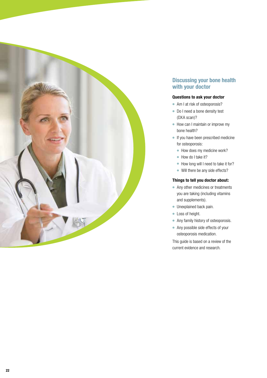

# **Discussing your bone health with your doctor**

# **Questions to ask your doctor**

- Am I at risk of osteoporosis?
- Do I need a bone density test (DXA scan)?
- How can I maintain or improve my bone health?
- If you have been prescribed medicine for osteoporosis:
	- How does my medicine work?
	- How do I take it?
	- How long will I need to take it for?
	- Will there be any side effects?

### **Things to tell you doctor about:**

- Any other medicines or treatments you are taking (including vitamins and supplements).
- Unexplained back pain.
- Loss of height.
- Any family history of osteoporosis.
- Any possible side effects of your osteoporosis medication.

This guide is based on a review of the current evidence and research.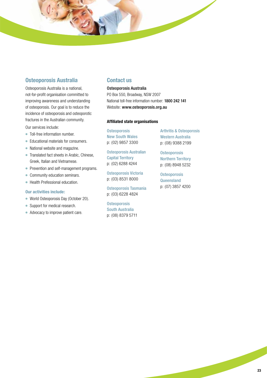# **Osteoporosis Australia**

Osteoporosis Australia is a national, not-for-profit organisation committed to improving awareness and understanding of osteoporosis. Our goal is to reduce the incidence of osteoporosis and osteoporotic fractures in the Australian community.

Our services include:

- Toll-free information number.
- Educational materials for consumers.
- National website and magazine.
- Translated fact sheets in Arabic, Chinese, Greek, Italian and Vietnamese.
- Prevention and self-management programs.
- Community education seminars.
- Health Prefessional education.

### **Our activities include:**

- World Osteoporosis Day (October 20).
- Support for medical research.
- Advocacy to improve patient care.

# **Contact us**

Osteoporosis Australia PO Box 550, Broadway, NSW 2007 National toll-free information number: 1800 242 141 Website: www.osteoporosis.org.au

### **Affiliated state organisations**

**Osteoporosis** New South Wales p: (02) 9857 3300

Osteoporosis Australian Capital Territory p: (02) 6288 4244

Osteoporosis Victoria p: (03) 8531 8000

Osteoporosis Tasmania p: (03) 6228 4824

**Osteoporosis** South Australia p: (08) 8379 5711 Arthritis & Osteoporosis Western Australia p: (08) 9388 2199

**Osteoporosis** Northern Territory p: (08) 8948 5232

**Osteoporosis Queensland** p: (07) 3857 4200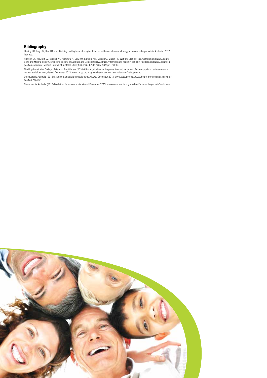### **Bibliography**

Ebeling PR, Daly RM, Kerr DA et al. Building healthy bones throughout life: an evidence-informed strategy to prevent osteoporosis in Australia. 2012. In press.

Nowson CA, McGrath JJ, Ebeling PR, Haikerwal A, Daly RM, Sanders KM, Seibel MJ, Mason RS. Working Group of the Australian and New Zealand<br>Bone and Mineral Society, Endocrine Society of Australia and Osteoporosis Australia.

The Royal Australian College of General Practitioners (2010) Clinical guideline for the prevention and treatment of osteoporosis in postmenopausal<br>women and older men, viewed December 2013, www.racgp.org.au/guidelines/musc

Osteoporosis Australia (2012) Statement on calcium supplements, viewed December 2013, www.osteoporosis.org.au/health-professionals/research-position-papers/

Osteoporosis Australia (2012) Medicines for osteoporosis, viewed December 2013, www.osteoporosis.org.au/about/about-osteoporosis/medicines

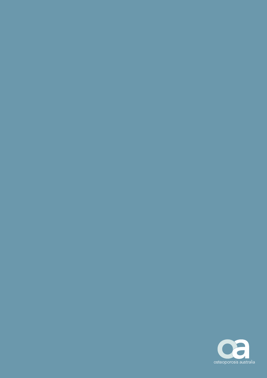